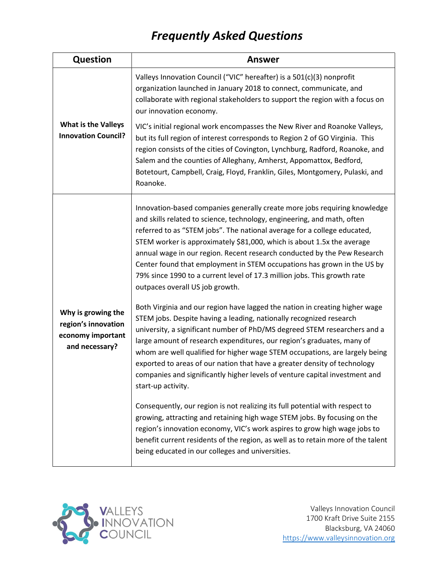## Frequently Asked Questions

| <b>Question</b>                                                                  | <b>Answer</b>                                                                                                                                                                                                                                                                                                                                                                                                                                                                                                                                                                    |
|----------------------------------------------------------------------------------|----------------------------------------------------------------------------------------------------------------------------------------------------------------------------------------------------------------------------------------------------------------------------------------------------------------------------------------------------------------------------------------------------------------------------------------------------------------------------------------------------------------------------------------------------------------------------------|
| <b>What is the Valleys</b><br><b>Innovation Council?</b>                         | Valleys Innovation Council ("VIC" hereafter) is a 501(c)(3) nonprofit<br>organization launched in January 2018 to connect, communicate, and<br>collaborate with regional stakeholders to support the region with a focus on<br>our innovation economy.                                                                                                                                                                                                                                                                                                                           |
|                                                                                  | VIC's initial regional work encompasses the New River and Roanoke Valleys,<br>but its full region of interest corresponds to Region 2 of GO Virginia. This<br>region consists of the cities of Covington, Lynchburg, Radford, Roanoke, and<br>Salem and the counties of Alleghany, Amherst, Appomattox, Bedford,<br>Botetourt, Campbell, Craig, Floyd, Franklin, Giles, Montgomery, Pulaski, and<br>Roanoke.                                                                                                                                                                     |
|                                                                                  | Innovation-based companies generally create more jobs requiring knowledge<br>and skills related to science, technology, engineering, and math, often<br>referred to as "STEM jobs". The national average for a college educated,<br>STEM worker is approximately \$81,000, which is about 1.5x the average<br>annual wage in our region. Recent research conducted by the Pew Research<br>Center found that employment in STEM occupations has grown in the US by<br>79% since 1990 to a current level of 17.3 million jobs. This growth rate<br>outpaces overall US job growth. |
| Why is growing the<br>region's innovation<br>economy important<br>and necessary? | Both Virginia and our region have lagged the nation in creating higher wage<br>STEM jobs. Despite having a leading, nationally recognized research<br>university, a significant number of PhD/MS degreed STEM researchers and a<br>large amount of research expenditures, our region's graduates, many of<br>whom are well qualified for higher wage STEM occupations, are largely being<br>exported to areas of our nation that have a greater density of technology<br>companies and significantly higher levels of venture capital investment and<br>start-up activity.       |
|                                                                                  | Consequently, our region is not realizing its full potential with respect to<br>growing, attracting and retaining high wage STEM jobs. By focusing on the<br>region's innovation economy, VIC's work aspires to grow high wage jobs to<br>benefit current residents of the region, as well as to retain more of the talent<br>being educated in our colleges and universities.                                                                                                                                                                                                   |